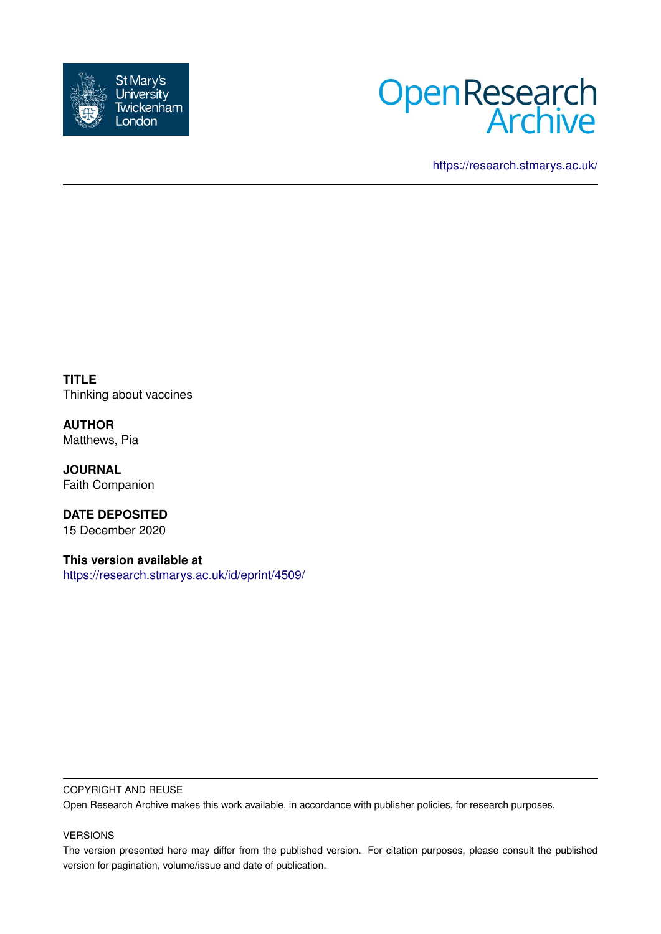



<https://research.stmarys.ac.uk/>

**TITLE** Thinking about vaccines

**AUTHOR** Matthews, Pia

**JOURNAL** Faith Companion

**DATE DEPOSITED** 15 December 2020

**This version available at** <https://research.stmarys.ac.uk/id/eprint/4509/>

## COPYRIGHT AND REUSE

Open Research Archive makes this work available, in accordance with publisher policies, for research purposes.

## VERSIONS

The version presented here may differ from the published version. For citation purposes, please consult the published version for pagination, volume/issue and date of publication.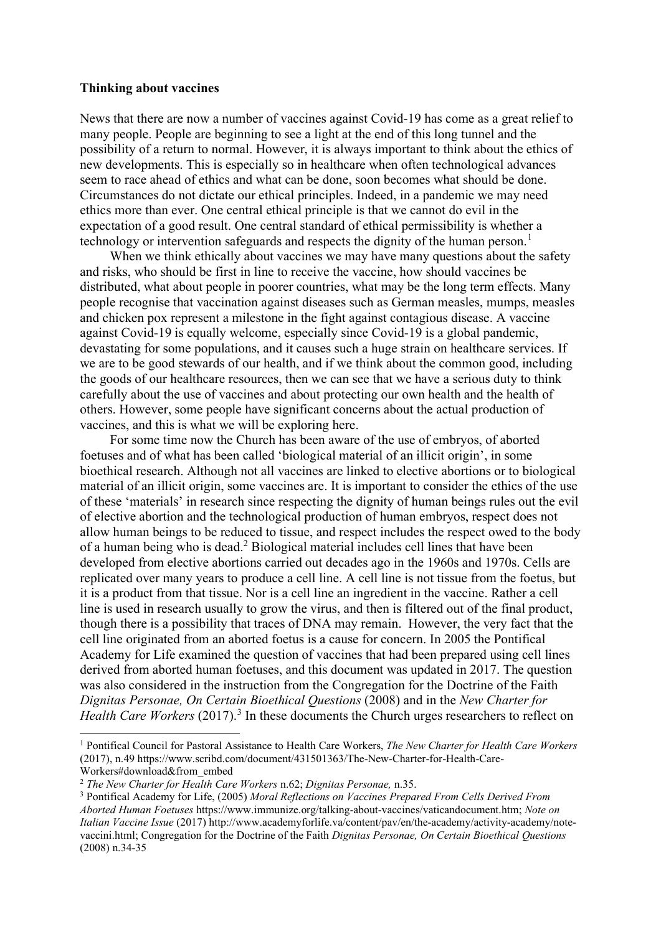## **Thinking about vaccines**

News that there are now a number of vaccines against Covid-19 has come as a great relief to many people. People are beginning to see a light at the end of this long tunnel and the possibility of a return to normal. However, it is always important to think about the ethics of new developments. This is especially so in healthcare when often technological advances seem to race ahead of ethics and what can be done, soon becomes what should be done. Circumstances do not dictate our ethical principles. Indeed, in a pandemic we may need ethics more than ever. One central ethical principle is that we cannot do evil in the expectation of a good result. One central standard of ethical permissibility is whether a technology or intervention safeguards and respects the dignity of the human person.<sup>[1](#page-1-0)</sup>

When we think ethically about vaccines we may have many questions about the safety and risks, who should be first in line to receive the vaccine, how should vaccines be distributed, what about people in poorer countries, what may be the long term effects. Many people recognise that vaccination against diseases such as German measles, mumps, measles and chicken pox represent a milestone in the fight against contagious disease. A vaccine against Covid-19 is equally welcome, especially since Covid-19 is a global pandemic, devastating for some populations, and it causes such a huge strain on healthcare services. If we are to be good stewards of our health, and if we think about the common good, including the goods of our healthcare resources, then we can see that we have a serious duty to think carefully about the use of vaccines and about protecting our own health and the health of others. However, some people have significant concerns about the actual production of vaccines, and this is what we will be exploring here.

 For some time now the Church has been aware of the use of embryos, of aborted foetuses and of what has been called 'biological material of an illicit origin', in some bioethical research. Although not all vaccines are linked to elective abortions or to biological material of an illicit origin, some vaccines are. It is important to consider the ethics of the use of these 'materials' in research since respecting the dignity of human beings rules out the evil of elective abortion and the technological production of human embryos, respect does not allow human beings to be reduced to tissue, and respect includes the respect owed to the body of a human being who is dead.[2](#page-1-1) Biological material includes cell lines that have been developed from elective abortions carried out decades ago in the 1960s and 1970s. Cells are replicated over many years to produce a cell line. A cell line is not tissue from the foetus, but it is a product from that tissue. Nor is a cell line an ingredient in the vaccine. Rather a cell line is used in research usually to grow the virus, and then is filtered out of the final product, though there is a possibility that traces of DNA may remain. However, the very fact that the cell line originated from an aborted foetus is a cause for concern. In 2005 the Pontifical Academy for Life examined the question of vaccines that had been prepared using cell lines derived from aborted human foetuses, and this document was updated in 2017. The question was also considered in the instruction from the Congregation for the Doctrine of the Faith *Dignitas Personae, On Certain Bioethical Questions* (2008) and in the *New Charter for*  Health Care Workers (2017).<sup>[3](#page-1-2)</sup> In these documents the Church urges researchers to reflect on

<span id="page-1-0"></span><sup>1</sup> Pontifical Council for Pastoral Assistance to Health Care Workers, *The New Charter for Health Care Workers*  (2017), n.4[9 https://www.scribd.com/document/431501363/The-New-Charter-for-Health-Care-](https://www.scribd.com/document/431501363/The-New-Charter-for-Health-Care-Workers#download&from_embed)[Workers#download&from\\_embed](https://www.scribd.com/document/431501363/The-New-Charter-for-Health-Care-Workers#download&from_embed)

<span id="page-1-1"></span><sup>2</sup> *The New Charter for Health Care Workers* n.62; *Dignitas Personae,* n.35.

<span id="page-1-2"></span><sup>3</sup> Pontifical Academy for Life, (2005) *Moral Reflections on Vaccines Prepared From Cells Derived From Aborted Human Foetuses* [https://www.immunize.org/talking-about-vaccines/vaticandocument.htm;](https://www.immunize.org/talking-about-vaccines/vaticandocument.htm) *Note on Italian Vaccine Issue* (2017) [http://www.academyforlife.va/content/pav/en/the-academy/activity-academy/note](http://www.academyforlife.va/content/pav/en/the-academy/activity-academy/note-vaccini.html)[vaccini.html;](http://www.academyforlife.va/content/pav/en/the-academy/activity-academy/note-vaccini.html) Congregation for the Doctrine of the Faith *Dignitas Personae, On Certain Bioethical Questions*  (2008) n.34-35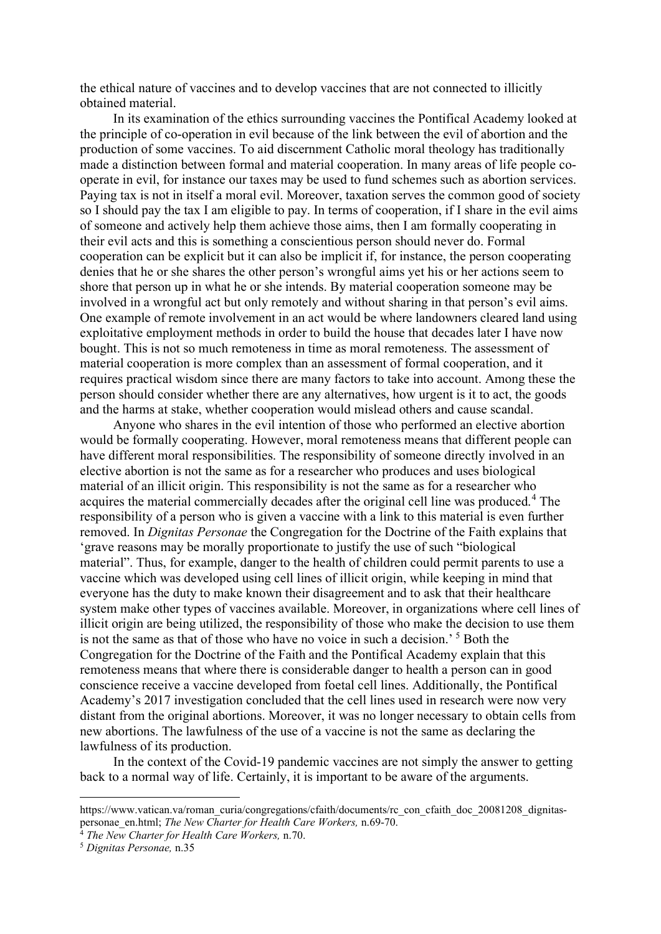the ethical nature of vaccines and to develop vaccines that are not connected to illicitly obtained material.

 In its examination of the ethics surrounding vaccines the Pontifical Academy looked at the principle of co-operation in evil because of the link between the evil of abortion and the production of some vaccines. To aid discernment Catholic moral theology has traditionally made a distinction between formal and material cooperation. In many areas of life people cooperate in evil, for instance our taxes may be used to fund schemes such as abortion services. Paying tax is not in itself a moral evil. Moreover, taxation serves the common good of society so I should pay the tax I am eligible to pay. In terms of cooperation, if I share in the evil aims of someone and actively help them achieve those aims, then I am formally cooperating in their evil acts and this is something a conscientious person should never do. Formal cooperation can be explicit but it can also be implicit if, for instance, the person cooperating denies that he or she shares the other person's wrongful aims yet his or her actions seem to shore that person up in what he or she intends. By material cooperation someone may be involved in a wrongful act but only remotely and without sharing in that person's evil aims. One example of remote involvement in an act would be where landowners cleared land using exploitative employment methods in order to build the house that decades later I have now bought. This is not so much remoteness in time as moral remoteness. The assessment of material cooperation is more complex than an assessment of formal cooperation, and it requires practical wisdom since there are many factors to take into account. Among these the person should consider whether there are any alternatives, how urgent is it to act, the goods and the harms at stake, whether cooperation would mislead others and cause scandal.

 Anyone who shares in the evil intention of those who performed an elective abortion would be formally cooperating. However, moral remoteness means that different people can have different moral responsibilities. The responsibility of someone directly involved in an elective abortion is not the same as for a researcher who produces and uses biological material of an illicit origin. This responsibility is not the same as for a researcher who acquires the material commercially decades after the original cell line was produced.<sup>[4](#page-2-0)</sup> The responsibility of a person who is given a vaccine with a link to this material is even further removed. In *Dignitas Personae* the Congregation for the Doctrine of the Faith explains that 'grave reasons may be morally proportionate to justify the use of such "biological material". Thus, for example, danger to the health of children could permit parents to use a vaccine which was developed using cell lines of illicit origin, while keeping in mind that everyone has the duty to make known their disagreement and to ask that their healthcare system make other types of vaccines available. Moreover, in organizations where cell lines of illicit origin are being utilized, the responsibility of those who make the decision to use them is not the same as that of those who have no voice in such a decision.<sup>[5](#page-2-1)</sup> Both the Congregation for the Doctrine of the Faith and the Pontifical Academy explain that this remoteness means that where there is considerable danger to health a person can in good conscience receive a vaccine developed from foetal cell lines. Additionally, the Pontifical Academy's 2017 investigation concluded that the cell lines used in research were now very distant from the original abortions. Moreover, it was no longer necessary to obtain cells from new abortions. The lawfulness of the use of a vaccine is not the same as declaring the lawfulness of its production.

 In the context of the Covid-19 pandemic vaccines are not simply the answer to getting back to a normal way of life. Certainly, it is important to be aware of the arguments.

https://www.vatican.va/roman\_curia/congregations/cfaith/documents/rc\_con\_cfaith\_doc\_20081208\_dignitas-<br>personae en.html; The New Charter for Health Care Workers, n.69-70.

<span id="page-2-0"></span><sup>&</sup>lt;sup>4</sup> The New Charter for Health Care Workers, n.70. <sup>5</sup> Dignitas Personae, n.35

<span id="page-2-1"></span>